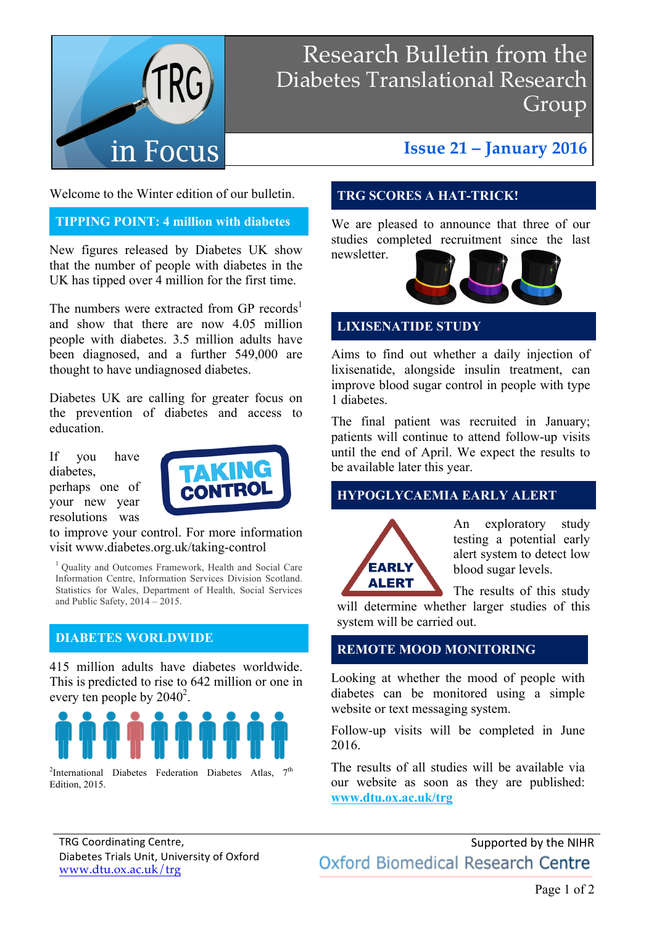

## Research Bulletin from the Diabetes Translational Research Group

## **Issue 21 – January 2016**

Welcome to the Winter edition of our bulletin.

## **TIPPING POINT: 4 million with diabetes**

New figures released by Diabetes UK show that the number of people with diabetes in the UK has tipped over 4 million for the first time.

The numbers were extracted from GP records<sup>1</sup> and show that there are now 4.05 million people with diabetes. 3.5 million adults have been diagnosed, and a further 549,000 are thought to have undiagnosed diabetes.

Diabetes UK are calling for greater focus on the prevention of diabetes and access to education.

If you have diabetes, perhaps one of your new year resolutions was



to improve your control. For more information visit www.diabetes.org.uk/taking-control

1 Quality and Outcomes Framework, Health and Social Care Information Centre, Information Services Division Scotland. Statistics for Wales, Department of Health, Social Services and Public Safety, 2014 – 2015.

## **DIABETES WORLDWIDE**

415 million adults have diabetes worldwide. This is predicted to rise to 642 million or one in every ten people by  $2040^2$ .



<sup>2</sup>International Diabetes Federation Diabetes Atlas,  $7<sup>th</sup>$ Edition, 2015.

## **TRG SCORES A HAT-TRICK!**

We are pleased to announce that three of our studies completed recruitment since the last newsletter.



## **LIXISENATIDE STUDY**

Aims to find out whether a daily injection of lixisenatide, alongside insulin treatment, can improve blood sugar control in people with type 1 diabetes.

The final patient was recruited in January; patients will continue to attend follow-up visits until the end of April. We expect the results to be available later this year.

## **HYPOGLYCAEMIA EARLY ALERT**



An exploratory study testing a potential early alert system to detect low blood sugar levels.

The results of this study

will determine whether larger studies of this system will be carried out.

## **REMOTE MOOD MONITORING**

Looking at whether the mood of people with diabetes can be monitored using a simple website or text messaging system.

Follow-up visits will be completed in June 2016.

The results of all studies will be available via our website as soon as they are published: **www.dtu.ox.ac.uk/trg**

Supported by the NIHR Oxford Biomedical Research Centre